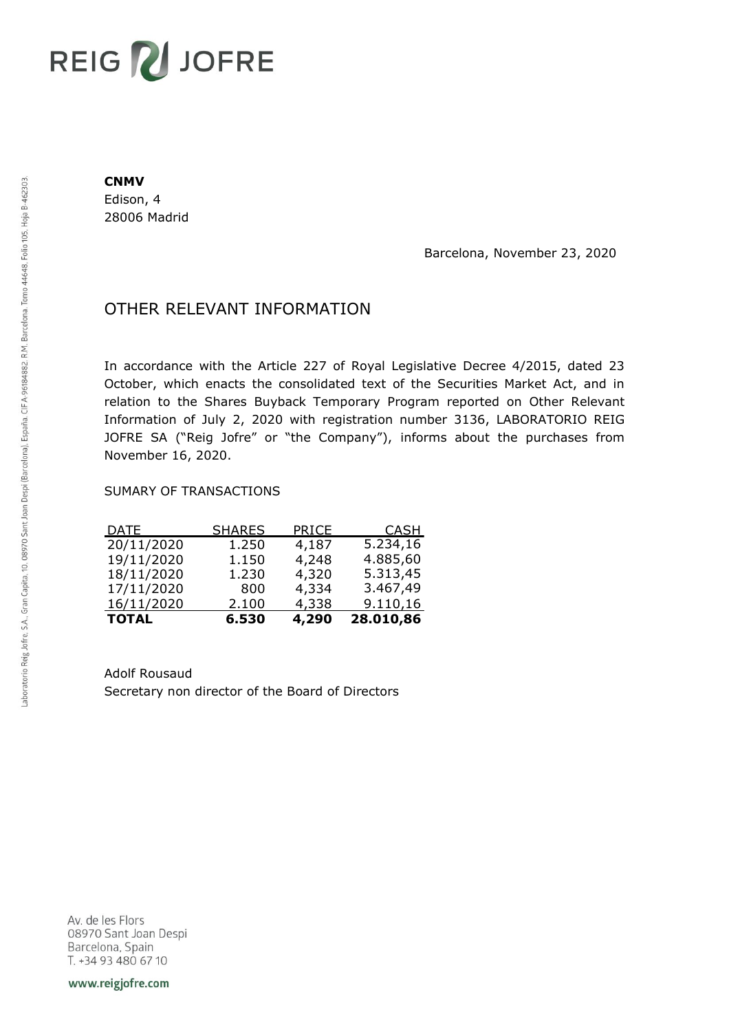## **REIG ZU JOFRE**

## **CNMV**

Edison, 4 28006 Madrid

Barcelona, November 23, 2020

## OTHER RELEVANT INFORMATION

In accordance with the Article 227 of Royal Legislative Decree 4/2015, dated 23 October, which enacts the consolidated text of the Securities Market Act, and in relation to the Shares Buyback Temporary Program reported on Other Relevant Information of July 2, 2020 with registration number 3136, LABORATORIO REIG JOFRE SA ("Reig Jofre" or "the Company"), informs about the purchases from November 16, 2020.

## SUMARY OF TRANSACTIONS

| <b>TOTAL</b> | 6.530         | 4,290 | 28.010,86   |
|--------------|---------------|-------|-------------|
| 16/11/2020   | 2.100         | 4,338 | 9.110,16    |
| 17/11/2020   | 800           | 4,334 | 3.467,49    |
| 18/11/2020   | 1.230         | 4,320 | 5.313,45    |
| 19/11/2020   | 1.150         | 4,248 | 4.885,60    |
| 20/11/2020   | 1.250         | 4,187 | 5.234,16    |
| <u>DATE</u>  | <u>SHARES</u> | PRICE | <u>CASH</u> |

Adolf Rousaud Secretary non director of the Board of Directors

Av. de les Flors 08970 Sant Joan Despi Barcelona, Spain T. +34 93 480 67 10

www.reigjofre.com